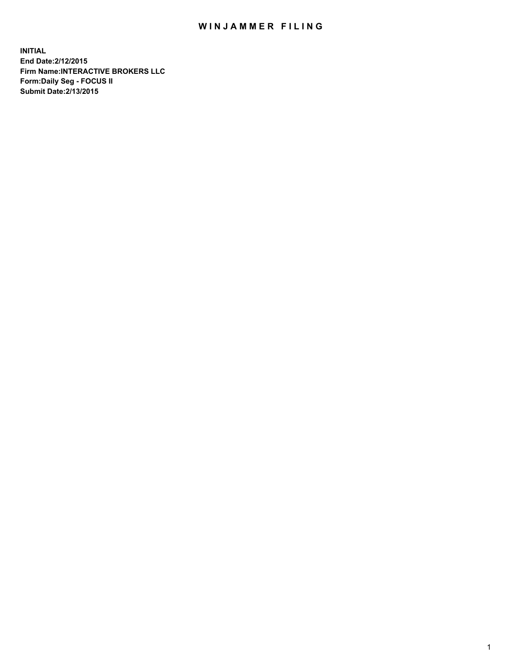## WIN JAMMER FILING

**INITIAL End Date:2/12/2015 Firm Name:INTERACTIVE BROKERS LLC Form:Daily Seg - FOCUS II Submit Date:2/13/2015**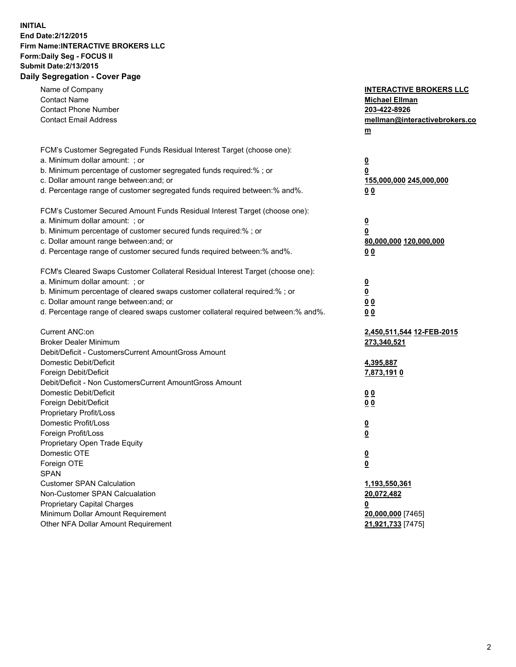## **INITIAL End Date:2/12/2015 Firm Name:INTERACTIVE BROKERS LLC Form:Daily Seg - FOCUS II Submit Date:2/13/2015 Daily Segregation - Cover Page**

| Name of Company<br><b>Contact Name</b>                                            | <b>INTERACTIVE BROKERS LLC</b><br><b>Michael Ellman</b> |
|-----------------------------------------------------------------------------------|---------------------------------------------------------|
| <b>Contact Phone Number</b>                                                       | 203-422-8926                                            |
| <b>Contact Email Address</b>                                                      | mellman@interactivebrokers.co                           |
|                                                                                   | $\underline{\mathbf{m}}$                                |
|                                                                                   |                                                         |
| FCM's Customer Segregated Funds Residual Interest Target (choose one):            |                                                         |
| a. Minimum dollar amount: ; or                                                    | $\overline{\mathbf{0}}$                                 |
| b. Minimum percentage of customer segregated funds required:% ; or                | 0                                                       |
| c. Dollar amount range between: and; or                                           | 155,000,000 245,000,000                                 |
| d. Percentage range of customer segregated funds required between:% and%.         | 00                                                      |
| FCM's Customer Secured Amount Funds Residual Interest Target (choose one):        |                                                         |
| a. Minimum dollar amount: ; or                                                    | $\overline{\mathbf{0}}$                                 |
| b. Minimum percentage of customer secured funds required:% ; or                   | 0                                                       |
| c. Dollar amount range between: and; or                                           | 80,000,000 120,000,000                                  |
| d. Percentage range of customer secured funds required between:% and%.            | 00                                                      |
|                                                                                   |                                                         |
| FCM's Cleared Swaps Customer Collateral Residual Interest Target (choose one):    |                                                         |
| a. Minimum dollar amount: ; or                                                    | $\overline{\mathbf{0}}$                                 |
| b. Minimum percentage of cleared swaps customer collateral required:% ; or        | $\overline{\mathbf{0}}$                                 |
| c. Dollar amount range between: and; or                                           | 0 <sub>0</sub>                                          |
| d. Percentage range of cleared swaps customer collateral required between:% and%. | 0 <sub>0</sub>                                          |
|                                                                                   |                                                         |
| Current ANC:on                                                                    | 2,450,511,544 12-FEB-2015                               |
| <b>Broker Dealer Minimum</b>                                                      | 273,340,521                                             |
| Debit/Deficit - CustomersCurrent AmountGross Amount                               |                                                         |
| Domestic Debit/Deficit                                                            | 4,395,887                                               |
| Foreign Debit/Deficit                                                             | <u>7,873,1910</u>                                       |
| Debit/Deficit - Non CustomersCurrent AmountGross Amount                           |                                                         |
| Domestic Debit/Deficit                                                            | 0 <sub>0</sub>                                          |
| Foreign Debit/Deficit                                                             | 0 <sub>0</sub>                                          |
| Proprietary Profit/Loss                                                           |                                                         |
| Domestic Profit/Loss                                                              | $\overline{\mathbf{0}}$                                 |
| Foreign Profit/Loss                                                               | $\underline{\mathbf{0}}$                                |
| Proprietary Open Trade Equity<br>Domestic OTE                                     |                                                         |
|                                                                                   | <u>0</u>                                                |
| Foreign OTE                                                                       | <u>0</u>                                                |
| <b>SPAN</b>                                                                       |                                                         |
| <b>Customer SPAN Calculation</b>                                                  | 1,193,550,361                                           |
| Non-Customer SPAN Calcualation                                                    | 20,072,482                                              |
| Proprietary Capital Charges                                                       | <u>0</u>                                                |
| Minimum Dollar Amount Requirement<br>Other NFA Dollar Amount Requirement          | 20,000,000 [7465]                                       |
|                                                                                   | 21,921,733 [7475]                                       |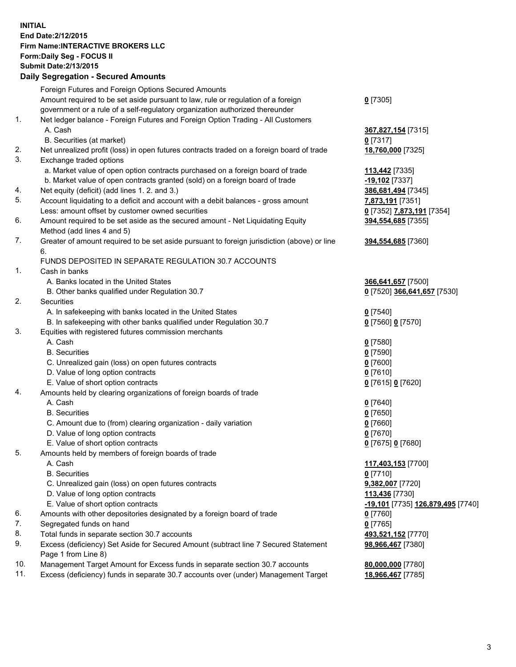## **INITIAL End Date:2/12/2015 Firm Name:INTERACTIVE BROKERS LLC Form:Daily Seg - FOCUS II Submit Date:2/13/2015 Daily Segregation - Secured Amounts**

|                | Daily Jegregation - Jeculed Aniounts                                                        |                                   |
|----------------|---------------------------------------------------------------------------------------------|-----------------------------------|
|                | Foreign Futures and Foreign Options Secured Amounts                                         |                                   |
|                | Amount required to be set aside pursuant to law, rule or regulation of a foreign            | $0$ [7305]                        |
|                | government or a rule of a self-regulatory organization authorized thereunder                |                                   |
| 1.             | Net ledger balance - Foreign Futures and Foreign Option Trading - All Customers             |                                   |
|                | A. Cash                                                                                     | 367,827,154 [7315]                |
|                | B. Securities (at market)                                                                   | $0$ [7317]                        |
| 2.             | Net unrealized profit (loss) in open futures contracts traded on a foreign board of trade   | 18,760,000 [7325]                 |
| 3.             | Exchange traded options                                                                     |                                   |
|                | a. Market value of open option contracts purchased on a foreign board of trade              | <b>113,442</b> [7335]             |
|                | b. Market value of open contracts granted (sold) on a foreign board of trade                | -19,102 <sup>[7337]</sup>         |
| 4.             | Net equity (deficit) (add lines 1.2. and 3.)                                                | 386,681,494 [7345]                |
| 5.             | Account liquidating to a deficit and account with a debit balances - gross amount           | 7,873,191 [7351]                  |
|                | Less: amount offset by customer owned securities                                            | 0 [7352] 7,873,191 [7354]         |
| 6.             | Amount required to be set aside as the secured amount - Net Liquidating Equity              | 394,554,685 [7355]                |
|                | Method (add lines 4 and 5)                                                                  |                                   |
| 7.             | Greater of amount required to be set aside pursuant to foreign jurisdiction (above) or line | 394,554,685 [7360]                |
|                | 6.                                                                                          |                                   |
|                | FUNDS DEPOSITED IN SEPARATE REGULATION 30.7 ACCOUNTS                                        |                                   |
| $\mathbf{1}$ . | Cash in banks                                                                               |                                   |
|                | A. Banks located in the United States                                                       | 366,641,657 [7500]                |
|                | B. Other banks qualified under Regulation 30.7                                              | 0 [7520] 366,641,657 [7530]       |
| 2.             | Securities                                                                                  |                                   |
|                | A. In safekeeping with banks located in the United States                                   | $0$ [7540]                        |
|                | B. In safekeeping with other banks qualified under Regulation 30.7                          | 0 [7560] 0 [7570]                 |
| 3.             | Equities with registered futures commission merchants                                       |                                   |
|                | A. Cash                                                                                     | $0$ [7580]                        |
|                | <b>B.</b> Securities                                                                        | $0$ [7590]                        |
|                | C. Unrealized gain (loss) on open futures contracts                                         | $0$ [7600]                        |
|                | D. Value of long option contracts                                                           | $0$ [7610]                        |
|                | E. Value of short option contracts                                                          | 0 [7615] 0 [7620]                 |
| 4.             | Amounts held by clearing organizations of foreign boards of trade                           |                                   |
|                | A. Cash                                                                                     | $0$ [7640]                        |
|                | <b>B.</b> Securities                                                                        | $0$ [7650]                        |
|                | C. Amount due to (from) clearing organization - daily variation                             | $0$ [7660]                        |
|                | D. Value of long option contracts                                                           | $0$ [7670]                        |
|                | E. Value of short option contracts                                                          | 0 [7675] 0 [7680]                 |
| 5.             | Amounts held by members of foreign boards of trade                                          |                                   |
|                | A. Cash                                                                                     | 117,403,153 [7700]                |
|                | <b>B.</b> Securities                                                                        | $0$ [7710]                        |
|                | C. Unrealized gain (loss) on open futures contracts                                         | 9,382,007 [7720]                  |
|                | D. Value of long option contracts                                                           | 113,436 [7730]                    |
|                | E. Value of short option contracts                                                          | -19,101 [7735] 126,879,495 [7740] |
| 6.             | Amounts with other depositories designated by a foreign board of trade                      | 0 [7760]                          |
| 7.             | Segregated funds on hand                                                                    | $0$ [7765]                        |
| 8.             | Total funds in separate section 30.7 accounts                                               | 493,521,152 [7770]                |
| 9.             | Excess (deficiency) Set Aside for Secured Amount (subtract line 7 Secured Statement         | 98,966,467 [7380]                 |
|                | Page 1 from Line 8)                                                                         |                                   |
| 10.            | Management Target Amount for Excess funds in separate section 30.7 accounts                 | 80,000,000 [7780]                 |
| 11.            | Excess (deficiency) funds in separate 30.7 accounts over (under) Management Target          | 18,966,467 [7785]                 |
|                |                                                                                             |                                   |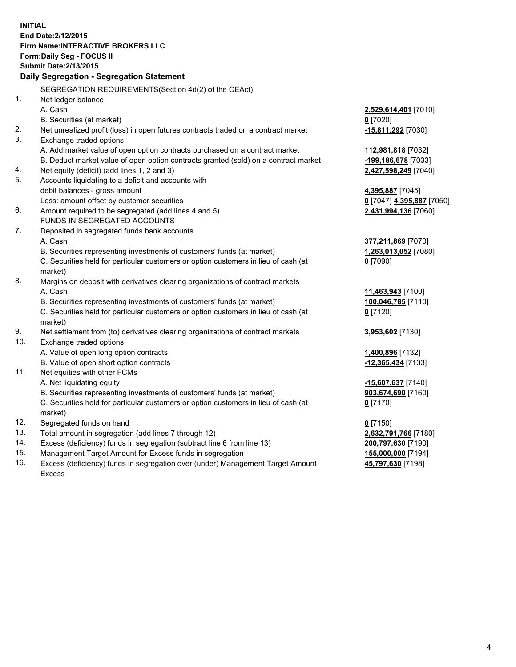**INITIAL End Date:2/12/2015 Firm Name:INTERACTIVE BROKERS LLC Form:Daily Seg - FOCUS II Submit Date:2/13/2015 Daily Segregation - Segregation Statement** SEGREGATION REQUIREMENTS(Section 4d(2) of the CEAct) 1. Net ledger balance A. Cash **2,529,614,401** [7010] B. Securities (at market) **0** [7020] 2. Net unrealized profit (loss) in open futures contracts traded on a contract market **-15,811,292** [7030] 3. Exchange traded options A. Add market value of open option contracts purchased on a contract market **112,981,818** [7032] B. Deduct market value of open option contracts granted (sold) on a contract market **-199,186,678** [7033] 4. Net equity (deficit) (add lines 1, 2 and 3) **2,427,598,249** [7040] 5. Accounts liquidating to a deficit and accounts with debit balances - gross amount **4,395,887** [7045] Less: amount offset by customer securities **0** [7047] **4,395,887** [7050] 6. Amount required to be segregated (add lines 4 and 5) **2,431,994,136** [7060] FUNDS IN SEGREGATED ACCOUNTS 7. Deposited in segregated funds bank accounts A. Cash **377,211,869** [7070] B. Securities representing investments of customers' funds (at market) **1,263,013,052** [7080] C. Securities held for particular customers or option customers in lieu of cash (at market) **0** [7090] 8. Margins on deposit with derivatives clearing organizations of contract markets A. Cash **11,463,943** [7100] B. Securities representing investments of customers' funds (at market) **100,046,785** [7110] C. Securities held for particular customers or option customers in lieu of cash (at market) **0** [7120] 9. Net settlement from (to) derivatives clearing organizations of contract markets **3,953,602** [7130] 10. Exchange traded options A. Value of open long option contracts **1,400,896** [7132] B. Value of open short option contracts **-12,365,434** [7133] 11. Net equities with other FCMs A. Net liquidating equity **-15,607,637** [7140] B. Securities representing investments of customers' funds (at market) **903,674,690** [7160] C. Securities held for particular customers or option customers in lieu of cash (at market) **0** [7170] 12. Segregated funds on hand **0** [7150] 13. Total amount in segregation (add lines 7 through 12) **2,632,791,766** [7180] 14. Excess (deficiency) funds in segregation (subtract line 6 from line 13) **200,797,630** [7190] 15. Management Target Amount for Excess funds in segregation **155,000,000** [7194]

16. Excess (deficiency) funds in segregation over (under) Management Target Amount Excess

**45,797,630** [7198]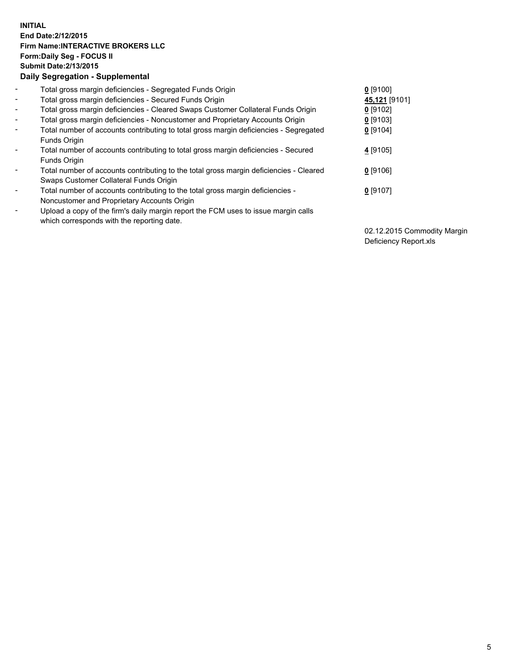## **INITIAL End Date:2/12/2015 Firm Name:INTERACTIVE BROKERS LLC Form:Daily Seg - FOCUS II Submit Date:2/13/2015 Daily Segregation - Supplemental**

| $\blacksquare$               | Total gross margin deficiencies - Segregated Funds Origin                              | $0$ [9100]    |
|------------------------------|----------------------------------------------------------------------------------------|---------------|
|                              |                                                                                        |               |
| $\blacksquare$               | Total gross margin deficiencies - Secured Funds Origin                                 | 45,121 [9101] |
| $\blacksquare$               | Total gross margin deficiencies - Cleared Swaps Customer Collateral Funds Origin       | $0$ [9102]    |
| $\blacksquare$               | Total gross margin deficiencies - Noncustomer and Proprietary Accounts Origin          | $0$ [9103]    |
| $\blacksquare$               | Total number of accounts contributing to total gross margin deficiencies - Segregated  | $0$ [9104]    |
|                              | Funds Origin                                                                           |               |
| $\blacksquare$               | Total number of accounts contributing to total gross margin deficiencies - Secured     | 4 [9105]      |
|                              | Funds Origin                                                                           |               |
| $\overline{\phantom{a}}$     | Total number of accounts contributing to the total gross margin deficiencies - Cleared | $0$ [9106]    |
|                              | Swaps Customer Collateral Funds Origin                                                 |               |
| $\qquad \qquad \blacksquare$ | Total number of accounts contributing to the total gross margin deficiencies -         | $0$ [9107]    |
|                              | Noncustomer and Proprietary Accounts Origin                                            |               |
| -                            | Upload a copy of the firm's daily margin report the FCM uses to issue margin calls     |               |
|                              | which corresponds with the reporting date.                                             |               |
|                              |                                                                                        |               |

02.12.2015 Commodity Margin Deficiency Report.xls